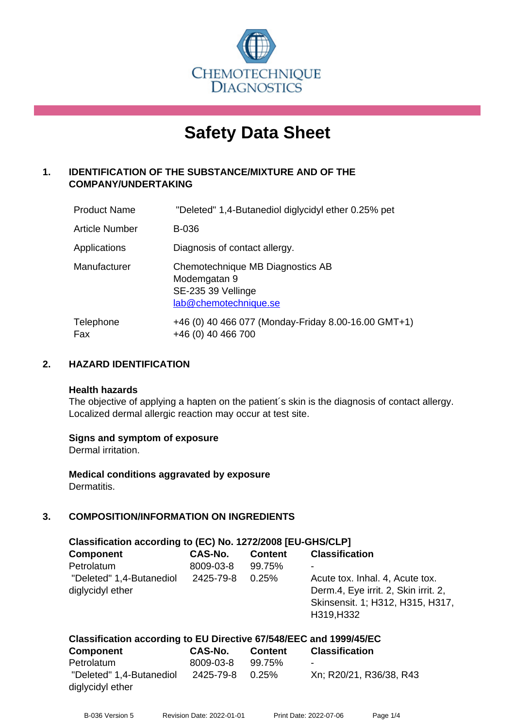

# **Safety Data Sheet**

## **1. IDENTIFICATION OF THE SUBSTANCE/MIXTURE AND OF THE COMPANY/UNDERTAKING**

| <b>Product Name</b> | "Deleted" 1,4-Butanediol diglycidyl ether 0.25% pet                                             |
|---------------------|-------------------------------------------------------------------------------------------------|
| Article Number      | B-036                                                                                           |
| Applications        | Diagnosis of contact allergy.                                                                   |
| Manufacturer        | Chemotechnique MB Diagnostics AB<br>Modemgatan 9<br>SE-235 39 Vellinge<br>lab@chemotechnique.se |
| Telephone<br>Fax    | +46 (0) 40 466 077 (Monday-Friday 8.00-16.00 GMT+1)<br>+46 (0) 40 466 700                       |

## **2. HAZARD IDENTIFICATION**

#### **Health hazards**

The objective of applying a hapten on the patient's skin is the diagnosis of contact allergy. Localized dermal allergic reaction may occur at test site.

## **Signs and symptom of exposure**

Dermal irritation.

**Medical conditions aggravated by exposure** Dermatitis.

## **3. COMPOSITION/INFORMATION ON INGREDIENTS**

| Classification according to (EC) No. 1272/2008 [EU-GHS/CLP] |           |                |                                                                         |  |  |
|-------------------------------------------------------------|-----------|----------------|-------------------------------------------------------------------------|--|--|
| <b>Component</b>                                            | CAS-No.   | <b>Content</b> | <b>Classification</b>                                                   |  |  |
| Petrolatum                                                  | 8009-03-8 | 99.75%         | ۰                                                                       |  |  |
| "Deleted" 1,4-Butanediol<br>diglycidyl ether                | 2425-79-8 | 0.25%          | Acute tox. Inhal. 4, Acute tox.<br>Derm.4, Eye irrit. 2, Skin irrit. 2, |  |  |
|                                                             |           |                | Skinsensit. 1; H312, H315, H317,                                        |  |  |
|                                                             |           |                | H319, H332                                                              |  |  |
|                                                             |           |                |                                                                         |  |  |

#### **Classification according to EU Directive 67/548/EEC and 1999/45/EC Component CAS-No. Content Classification**

| $\sim$ $\sim$            | ------          | -------- |                         |
|--------------------------|-----------------|----------|-------------------------|
| Petrolatum               | 8009-03-8       | 99.75%   | ۰                       |
| "Deleted" 1,4-Butanediol | 2425-79-8 0.25% |          | Xn; R20/21, R36/38, R43 |
| diglycidyl ether         |                 |          |                         |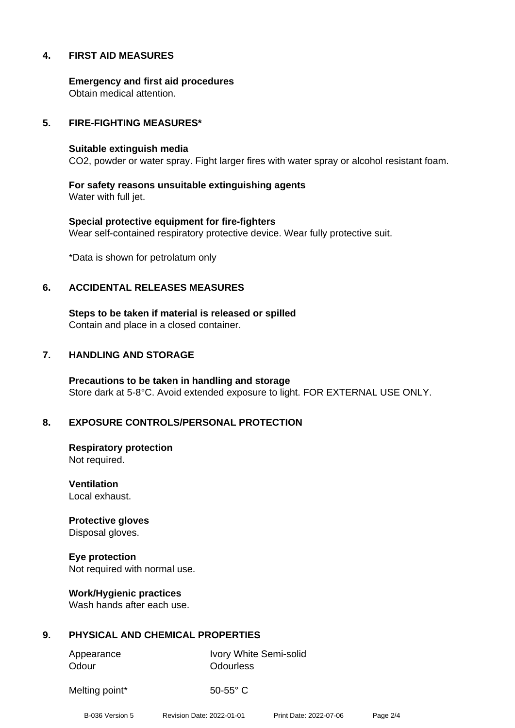## **4. FIRST AID MEASURES**

**Emergency and first aid procedures** Obtain medical attention.

## **5. FIRE-FIGHTING MEASURES\***

#### **Suitable extinguish media**

CO2, powder or water spray. Fight larger fires with water spray or alcohol resistant foam.

**For safety reasons unsuitable extinguishing agents** Water with full jet.

**Special protective equipment for fire-fighters** Wear self-contained respiratory protective device. Wear fully protective suit.

\*Data is shown for petrolatum only

### **6. ACCIDENTAL RELEASES MEASURES**

**Steps to be taken if material is released or spilled** Contain and place in a closed container.

## **7. HANDLING AND STORAGE**

**Precautions to be taken in handling and storage** Store dark at 5-8°C. Avoid extended exposure to light. FOR EXTERNAL USE ONLY.

## **8. EXPOSURE CONTROLS/PERSONAL PROTECTION**

**Respiratory protection** Not required.

**Ventilation** Local exhaust.

**Protective gloves** Disposal gloves.

**Eye protection** Not required with normal use.

**Work/Hygienic practices** Wash hands after each use.

## **9. PHYSICAL AND CHEMICAL PROPERTIES**

Odour **Odourless** 

Appearance Ivory White Semi-solid

Melting point\* 50-55° C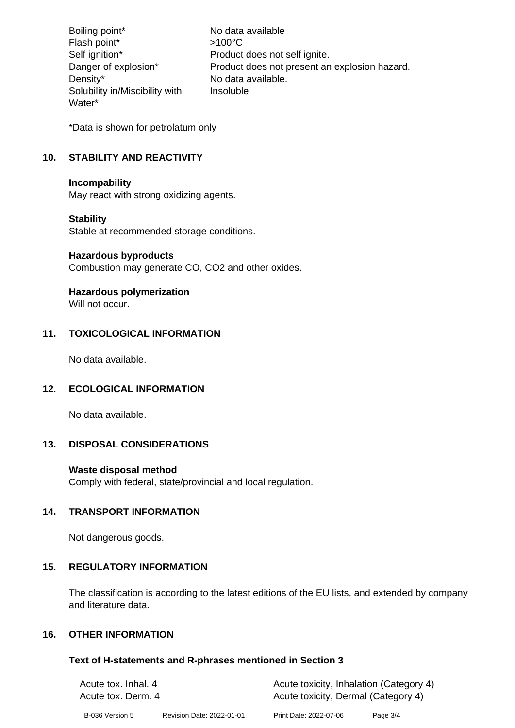Boiling point\* No data available Flash point\*  $>100^{\circ}$ C Self ignition\* Product does not self ignite. Danger of explosion\* Product does not present an explosion hazard. Density\* No data available. Solubility in/Miscibility with Water\* Insoluble

\*Data is shown for petrolatum only

## **10. STABILITY AND REACTIVITY**

### **Incompability**

May react with strong oxidizing agents.

## **Stability**

Stable at recommended storage conditions.

### **Hazardous byproducts**

Combustion may generate CO, CO2 and other oxides.

## **Hazardous polymerization**

Will not occur.

## **11. TOXICOLOGICAL INFORMATION**

No data available.

## **12. ECOLOGICAL INFORMATION**

No data available.

## **13. DISPOSAL CONSIDERATIONS**

## **Waste disposal method**

Comply with federal, state/provincial and local regulation.

## **14. TRANSPORT INFORMATION**

Not dangerous goods.

## **15. REGULATORY INFORMATION**

The classification is according to the latest editions of the EU lists, and extended by company and literature data.

## **16. OTHER INFORMATION**

## **Text of H-statements and R-phrases mentioned in Section 3**

| Acute tox. Inhal. 4<br>Acute tox. Derm. 4 |                           |                        | Acute toxicity, Inhalation (Category 4)<br>Acute toxicity, Dermal (Category 4) |  |
|-------------------------------------------|---------------------------|------------------------|--------------------------------------------------------------------------------|--|
| B-036 Version 5                           | Revision Date: 2022-01-01 | Print Date: 2022-07-06 | Page 3/4                                                                       |  |